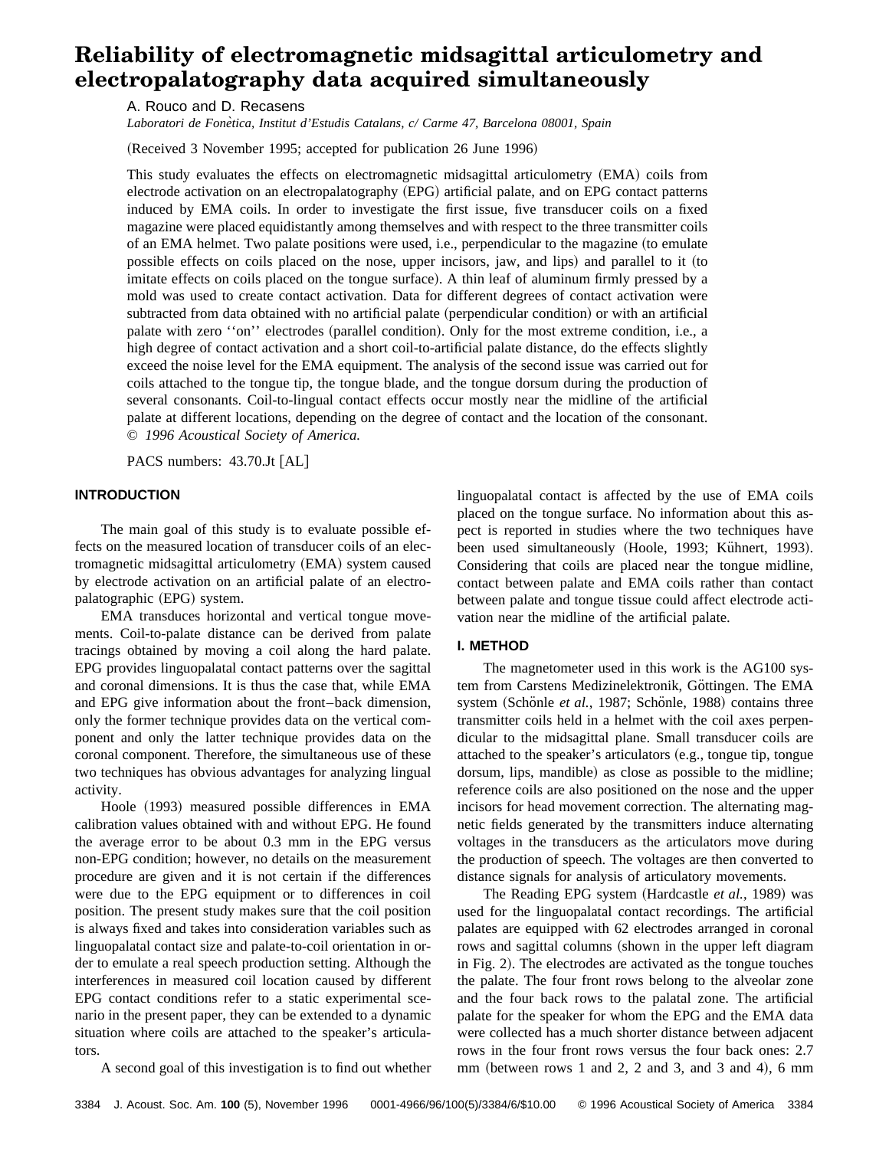## **Reliability of electromagnetic midsagittal articulometry and electropalatography data acquired simultaneously**

A. Rouco and D. Recasens

*Laboratori de Fone`tica, Institut d'Estudis Catalans, c/ Carme 47, Barcelona 08001, Spain*

(Received 3 November 1995; accepted for publication 26 June 1996)

This study evaluates the effects on electromagnetic midsagittal articulometry (EMA) coils from electrode activation on an electropalatography (EPG) artificial palate, and on EPG contact patterns induced by EMA coils. In order to investigate the first issue, five transducer coils on a fixed magazine were placed equidistantly among themselves and with respect to the three transmitter coils of an EMA helmet. Two palate positions were used, i.e., perpendicular to the magazine (to emulate possible effects on coils placed on the nose, upper incisors, jaw, and lips) and parallel to it (to imitate effects on coils placed on the tongue surface). A thin leaf of aluminum firmly pressed by a mold was used to create contact activation. Data for different degrees of contact activation were subtracted from data obtained with no artificial palate (perpendicular condition) or with an artificial palate with zero "on" electrodes (parallel condition). Only for the most extreme condition, i.e., a high degree of contact activation and a short coil-to-artificial palate distance, do the effects slightly exceed the noise level for the EMA equipment. The analysis of the second issue was carried out for coils attached to the tongue tip, the tongue blade, and the tongue dorsum during the production of several consonants. Coil-to-lingual contact effects occur mostly near the midline of the artificial palate at different locations, depending on the degree of contact and the location of the consonant. © *1996 Acoustical Society of America.*

PACS numbers:  $43.70$ .Jt  $[AL]$ 

### **INTRODUCTION**

The main goal of this study is to evaluate possible effects on the measured location of transducer coils of an electromagnetic midsagittal articulometry (EMA) system caused by electrode activation on an artificial palate of an electropalatographic (EPG) system.

EMA transduces horizontal and vertical tongue movements. Coil-to-palate distance can be derived from palate tracings obtained by moving a coil along the hard palate. EPG provides linguopalatal contact patterns over the sagittal and coronal dimensions. It is thus the case that, while EMA and EPG give information about the front–back dimension, only the former technique provides data on the vertical component and only the latter technique provides data on the coronal component. Therefore, the simultaneous use of these two techniques has obvious advantages for analyzing lingual activity.

Hoole (1993) measured possible differences in EMA calibration values obtained with and without EPG. He found the average error to be about 0.3 mm in the EPG versus non-EPG condition; however, no details on the measurement procedure are given and it is not certain if the differences were due to the EPG equipment or to differences in coil position. The present study makes sure that the coil position is always fixed and takes into consideration variables such as linguopalatal contact size and palate-to-coil orientation in order to emulate a real speech production setting. Although the interferences in measured coil location caused by different EPG contact conditions refer to a static experimental scenario in the present paper, they can be extended to a dynamic situation where coils are attached to the speaker's articulators.

linguopalatal contact is affected by the use of EMA coils placed on the tongue surface. No information about this aspect is reported in studies where the two techniques have been used simultaneously (Hoole, 1993; Kühnert, 1993). Considering that coils are placed near the tongue midline, contact between palate and EMA coils rather than contact between palate and tongue tissue could affect electrode activation near the midline of the artificial palate.

#### **I. METHOD**

The magnetometer used in this work is the AG100 system from Carstens Medizinelektronik, Göttingen. The EMA system (Schönle et al., 1987; Schönle, 1988) contains three transmitter coils held in a helmet with the coil axes perpendicular to the midsagittal plane. Small transducer coils are attached to the speaker's articulators  $(e.g., tongue tip, tongue$ dorsum, lips, mandible) as close as possible to the midline; reference coils are also positioned on the nose and the upper incisors for head movement correction. The alternating magnetic fields generated by the transmitters induce alternating voltages in the transducers as the articulators move during the production of speech. The voltages are then converted to distance signals for analysis of articulatory movements.

The Reading EPG system (Hardcastle et al., 1989) was used for the linguopalatal contact recordings. The artificial palates are equipped with 62 electrodes arranged in coronal rows and sagittal columns (shown in the upper left diagram in Fig. 2). The electrodes are activated as the tongue touches the palate. The four front rows belong to the alveolar zone and the four back rows to the palatal zone. The artificial palate for the speaker for whom the EPG and the EMA data were collected has a much shorter distance between adjacent rows in the four front rows versus the four back ones: 2.7 mm (between rows 1 and 2, 2 and 3, and 3 and 4), 6 mm

A second goal of this investigation is to find out whether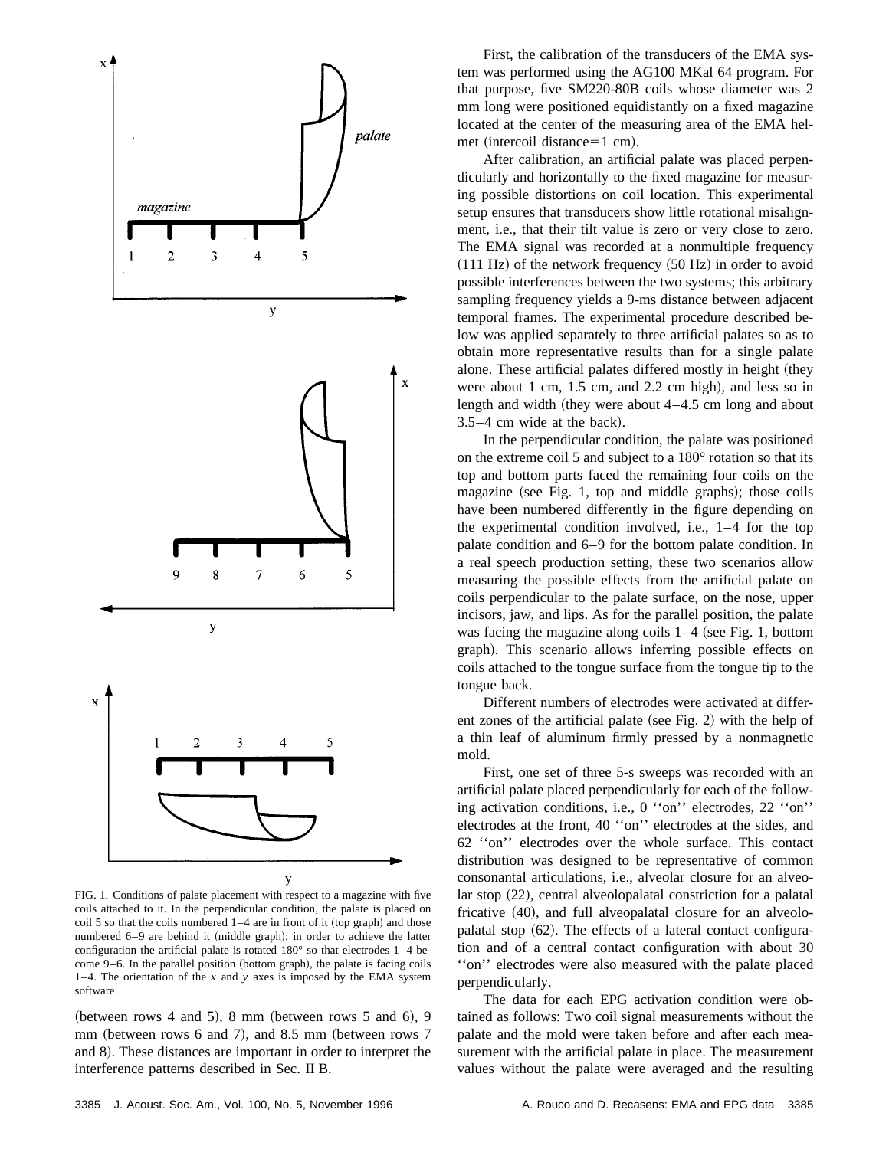

FIG. 1. Conditions of palate placement with respect to a magazine with five coils attached to it. In the perpendicular condition, the palate is placed on coil 5 so that the coils numbered  $1-4$  are in front of it (top graph) and those numbered  $6-9$  are behind it (middle graph); in order to achieve the latter configuration the artificial palate is rotated 180° so that electrodes 1–4 become  $9-6$ . In the parallel position (bottom graph), the palate is facing coils 1–4. The orientation of the *x* and *y* axes is imposed by the EMA system software.

(between rows 4 and 5), 8 mm (between rows 5 and 6), 9 mm (between rows 6 and 7), and 8.5 mm (between rows 7 and 8). These distances are important in order to interpret the interference patterns described in Sec. II B.

First, the calibration of the transducers of the EMA system was performed using the AG100 MKal 64 program. For that purpose, five SM220-80B coils whose diameter was 2 mm long were positioned equidistantly on a fixed magazine located at the center of the measuring area of the EMA helmet (intercoil distance $=1$  cm).

After calibration, an artificial palate was placed perpendicularly and horizontally to the fixed magazine for measuring possible distortions on coil location. This experimental setup ensures that transducers show little rotational misalignment, i.e., that their tilt value is zero or very close to zero. The EMA signal was recorded at a nonmultiple frequency  $(111 Hz)$  of the network frequency  $(50 Hz)$  in order to avoid possible interferences between the two systems; this arbitrary sampling frequency yields a 9-ms distance between adjacent temporal frames. The experimental procedure described below was applied separately to three artificial palates so as to obtain more representative results than for a single palate alone. These artificial palates differed mostly in height (they were about 1 cm,  $1.5$  cm, and  $2.2$  cm high), and less so in length and width (they were about  $4-4.5$  cm long and about  $3.5-4$  cm wide at the back).

In the perpendicular condition, the palate was positioned on the extreme coil 5 and subject to a 180° rotation so that its top and bottom parts faced the remaining four coils on the magazine (see Fig. 1, top and middle graphs); those coils have been numbered differently in the figure depending on the experimental condition involved, i.e., 1–4 for the top palate condition and 6–9 for the bottom palate condition. In a real speech production setting, these two scenarios allow measuring the possible effects from the artificial palate on coils perpendicular to the palate surface, on the nose, upper incisors, jaw, and lips. As for the parallel position, the palate was facing the magazine along coils  $1-4$  (see Fig. 1, bottom graph). This scenario allows inferring possible effects on coils attached to the tongue surface from the tongue tip to the tongue back.

Different numbers of electrodes were activated at different zones of the artificial palate (see Fig. 2) with the help of a thin leaf of aluminum firmly pressed by a nonmagnetic mold.

First, one set of three 5-s sweeps was recorded with an artificial palate placed perpendicularly for each of the following activation conditions, i.e., 0 ''on'' electrodes, 22 ''on'' electrodes at the front, 40 ''on'' electrodes at the sides, and 62 ''on'' electrodes over the whole surface. This contact distribution was designed to be representative of common consonantal articulations, i.e., alveolar closure for an alveolar stop  $(22)$ , central alveolopalatal constriction for a palatal fricative  $(40)$ , and full alveopalatal closure for an alveolopalatal stop  $(62)$ . The effects of a lateral contact configuration and of a central contact configuration with about 30 ''on'' electrodes were also measured with the palate placed perpendicularly.

The data for each EPG activation condition were obtained as follows: Two coil signal measurements without the palate and the mold were taken before and after each measurement with the artificial palate in place. The measurement values without the palate were averaged and the resulting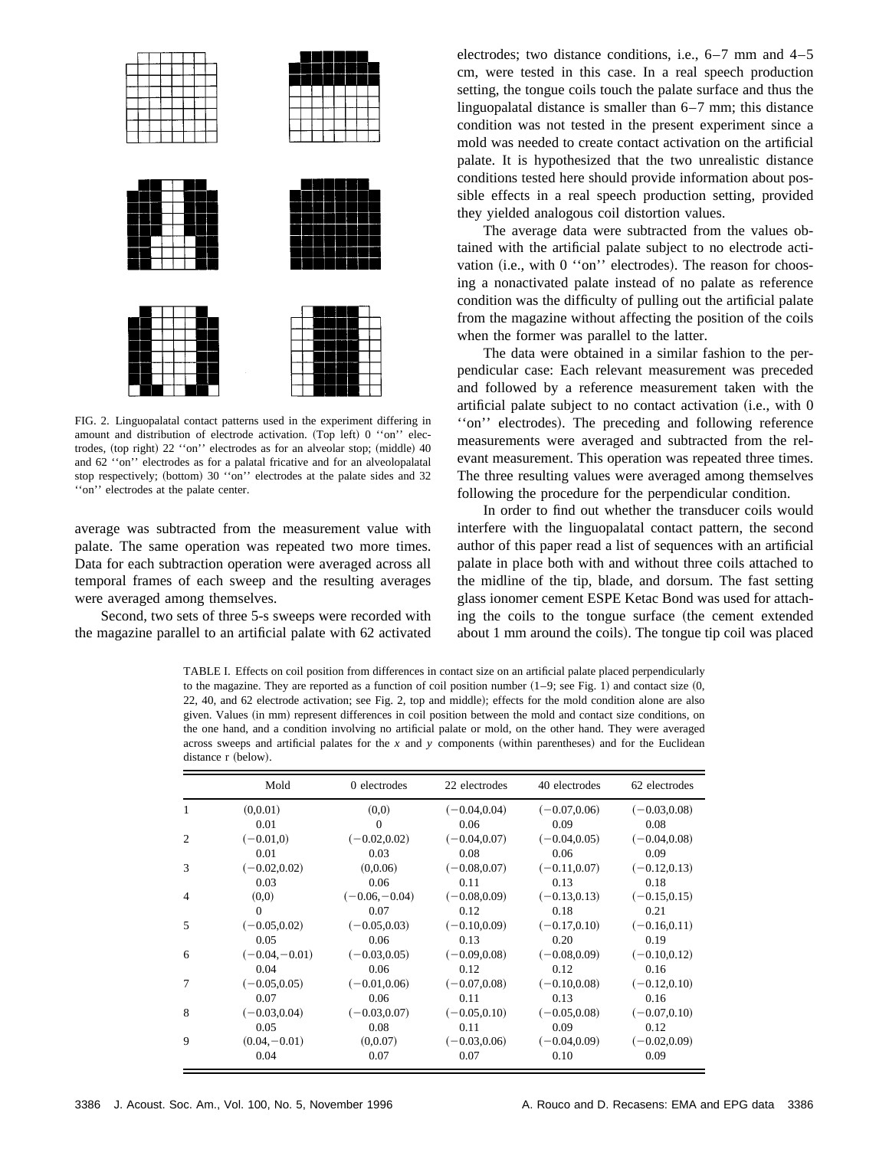

FIG. 2. Linguopalatal contact patterns used in the experiment differing in amount and distribution of electrode activation. (Top left)  $0$  "on" electrodes, (top right) 22 "on" electrodes as for an alveolar stop; (middle) 40 and 62 ''on'' electrodes as for a palatal fricative and for an alveolopalatal stop respectively; (bottom) 30 "on" electrodes at the palate sides and 32 ''on'' electrodes at the palate center.

average was subtracted from the measurement value with palate. The same operation was repeated two more times. Data for each subtraction operation were averaged across all temporal frames of each sweep and the resulting averages were averaged among themselves.

Second, two sets of three 5-s sweeps were recorded with the magazine parallel to an artificial palate with 62 activated electrodes; two distance conditions, i.e., 6–7 mm and 4–5 cm, were tested in this case. In a real speech production setting, the tongue coils touch the palate surface and thus the linguopalatal distance is smaller than 6–7 mm; this distance condition was not tested in the present experiment since a mold was needed to create contact activation on the artificial palate. It is hypothesized that the two unrealistic distance conditions tested here should provide information about possible effects in a real speech production setting, provided they yielded analogous coil distortion values.

The average data were subtracted from the values obtained with the artificial palate subject to no electrode activation (i.e., with 0 "on" electrodes). The reason for choosing a nonactivated palate instead of no palate as reference condition was the difficulty of pulling out the artificial palate from the magazine without affecting the position of the coils when the former was parallel to the latter.

The data were obtained in a similar fashion to the perpendicular case: Each relevant measurement was preceded and followed by a reference measurement taken with the artificial palate subject to no contact activation  $(i.e., with 0$ "on" electrodes). The preceding and following reference measurements were averaged and subtracted from the relevant measurement. This operation was repeated three times. The three resulting values were averaged among themselves following the procedure for the perpendicular condition.

In order to find out whether the transducer coils would interfere with the linguopalatal contact pattern, the second author of this paper read a list of sequences with an artificial palate in place both with and without three coils attached to the midline of the tip, blade, and dorsum. The fast setting glass ionomer cement ESPE Ketac Bond was used for attaching the coils to the tongue surface (the cement extended about 1 mm around the coils). The tongue tip coil was placed

TABLE I. Effects on coil position from differences in contact size on an artificial palate placed perpendicularly to the magazine. They are reported as a function of coil position number  $(1-9)$ ; see Fig. 1) and contact size  $(0, 0)$ 22, 40, and 62 electrode activation; see Fig. 2, top and middle!; effects for the mold condition alone are also given. Values (in mm) represent differences in coil position between the mold and contact size conditions, on the one hand, and a condition involving no artificial palate or mold, on the other hand. They were averaged across sweeps and artificial palates for the  $x$  and  $y$  components (within parentheses) and for the Euclidean distance r (below).

|                | Mold            | 0 electrodes    | 22 electrodes   | 40 electrodes   | 62 electrodes   |
|----------------|-----------------|-----------------|-----------------|-----------------|-----------------|
| $\mathbf{1}$   | (0,0.01)        | (0,0)           | $(-0.04, 0.04)$ | $(-0.07, 0.06)$ | $(-0.03, 0.08)$ |
|                | 0.01            | $\Omega$        | 0.06            | 0.09            | 0.08            |
| $\overline{2}$ | $(-0.01,0)$     | $(-0.02, 0.02)$ | $(-0.04, 0.07)$ | $(-0.04, 0.05)$ | $(-0.04, 0.08)$ |
|                | 0.01            | 0.03            | 0.08            | 0.06            | 0.09            |
| 3              | $(-0.02, 0.02)$ | (0,0.06)        | $(-0.08, 0.07)$ | $(-0.11, 0.07)$ | $(-0.12, 0.13)$ |
|                | 0.03            | 0.06            | 0.11            | 0.13            | 0.18            |
| 4              | (0,0)           | $(-0.06,-0.04)$ | $(-0.08, 0.09)$ | $(-0.13, 0.13)$ | $(-0.15, 0.15)$ |
|                | $\Omega$        | 0.07            | 0.12            | 0.18            | 0.21            |
| 5              | $(-0.05, 0.02)$ | $(-0.05, 0.03)$ | $(-0.10, 0.09)$ | $(-0.17, 0.10)$ | $(-0.16, 0.11)$ |
|                | 0.05            | 0.06            | 0.13            | 0.20            | 0.19            |
| 6              | $(-0.04,-0.01)$ | $(-0.03, 0.05)$ | $(-0.09, 0.08)$ | $(-0.08, 0.09)$ | $(-0.10, 0.12)$ |
|                | 0.04            | 0.06            | 0.12            | 0.12            | 0.16            |
| 7              | $(-0.05, 0.05)$ | $(-0.01, 0.06)$ | $(-0.07, 0.08)$ | $(-0.10, 0.08)$ | $(-0.12, 0.10)$ |
|                | 0.07            | 0.06            | 0.11            | 0.13            | 0.16            |
| 8              | $(-0.03, 0.04)$ | $(-0.03, 0.07)$ | $(-0.05, 0.10)$ | $(-0.05, 0.08)$ | $(-0.07, 0.10)$ |
|                | 0.05            | 0.08            | 0.11            | 0.09            | 0.12            |
| 9              | $(0.04,-0.01)$  | (0,0.07)        | $(-0.03, 0.06)$ | $(-0.04, 0.09)$ | $(-0.02, 0.09)$ |
|                | 0.04            | 0.07            | 0.07            | 0.10            | 0.09            |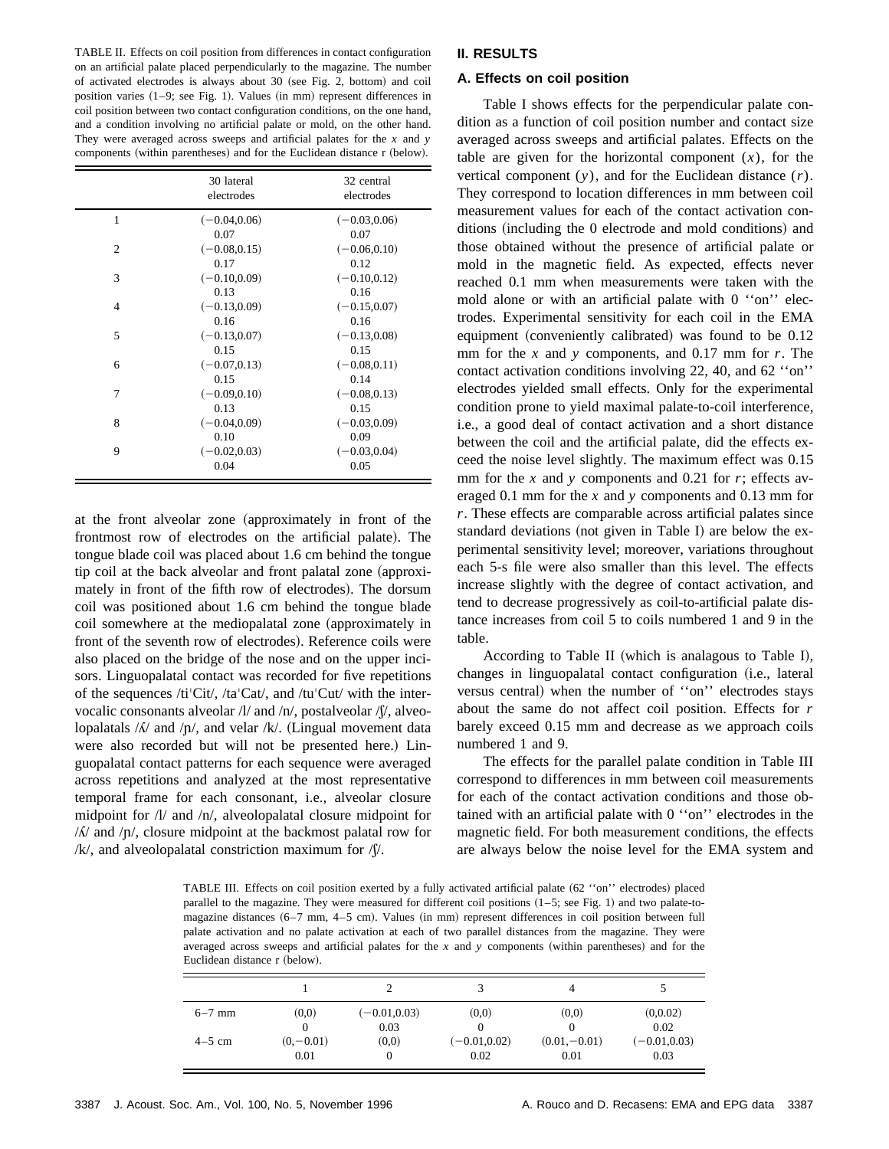TABLE II. Effects on coil position from differences in contact configuration on an artificial palate placed perpendicularly to the magazine. The number of activated electrodes is always about 30 (see Fig. 2, bottom) and coil position varies  $(1-9)$ ; see Fig. 1). Values  $(in \, mm)$  represent differences in coil position between two contact configuration conditions, on the one hand, and a condition involving no artificial palate or mold, on the other hand. They were averaged across sweeps and artificial palates for the *x* and *y* components (within parentheses) and for the Euclidean distance r (below).

|                | 30 lateral<br>electrodes | 32 central<br>electrodes |  |
|----------------|--------------------------|--------------------------|--|
| 1              | $(-0.04, 0.06)$          | $(-0.03, 0.06)$          |  |
|                | 0.07                     | 0.07                     |  |
| $\mathfrak{D}$ | $(-0.08, 0.15)$          | $(-0.06, 0.10)$          |  |
|                | 0.17                     | 0.12                     |  |
| 3              | $(-0.10, 0.09)$          | $(-0.10, 0.12)$          |  |
|                | 0.13                     | 0.16                     |  |
| $\overline{4}$ | $(-0.13, 0.09)$          | $(-0.15, 0.07)$          |  |
|                | 0.16                     | 0.16                     |  |
| 5              | $(-0.13, 0.07)$          | $(-0.13, 0.08)$          |  |
|                | 0.15                     | 0.15                     |  |
| 6              | $(-0.07, 0.13)$          | $(-0.08, 0.11)$          |  |
|                | 0.15                     | 0.14                     |  |
| 7              | $(-0.09, 0.10)$          | $(-0.08, 0.13)$          |  |
|                | 0.13                     | 0.15                     |  |
| 8              | $(-0.04, 0.09)$          | $(-0.03, 0.09)$          |  |
|                | 0.10                     | 0.09                     |  |
| 9              | $(-0.02, 0.03)$          | $(-0.03, 0.04)$          |  |
|                | 0.04                     | 0.05                     |  |

at the front alveolar zone (approximately in front of the frontmost row of electrodes on the artificial palate). The tongue blade coil was placed about 1.6 cm behind the tongue tip coil at the back alveolar and front palatal zone (approximately in front of the fifth row of electrodes). The dorsum coil was positioned about 1.6 cm behind the tongue blade coil somewhere at the mediopalatal zone (approximately in front of the seventh row of electrodes). Reference coils were also placed on the bridge of the nose and on the upper incisors. Linguopalatal contact was recorded for five repetitions of the sequences /ti'Cit/, /ta'Cat/, and /tu'Cut/ with the intervocalic consonants alveolar  $\Lambda$  and  $\Lambda$ , postalveolar  $\Lambda$ , alveolopalatals  $/\lambda$  and  $/\eta$ , and velar  $/k$ . (Lingual movement data were also recorded but will not be presented here.) Linguopalatal contact patterns for each sequence were averaged across repetitions and analyzed at the most representative temporal frame for each consonant, i.e., alveolar closure midpoint for /l/ and /n/, alveolopalatal closure midpoint for  $/N$  and  $/p$ , closure midpoint at the backmost palatal row for /k/, and alveolopalatal constriction maximum for  $/\mathcal{V}$ .

#### **II. RESULTS**

#### **A. Effects on coil position**

Table I shows effects for the perpendicular palate condition as a function of coil position number and contact size averaged across sweeps and artificial palates. Effects on the table are given for the horizontal component  $(x)$ , for the vertical component (*y*), and for the Euclidean distance (*r*). They correspond to location differences in mm between coil measurement values for each of the contact activation conditions (including the 0 electrode and mold conditions) and those obtained without the presence of artificial palate or mold in the magnetic field. As expected, effects never reached 0.1 mm when measurements were taken with the mold alone or with an artificial palate with 0 ''on'' electrodes. Experimental sensitivity for each coil in the EMA equipment (conveniently calibrated) was found to be  $0.12$ mm for the *x* and *y* components, and 0.17 mm for *r*. The contact activation conditions involving 22, 40, and 62 ''on'' electrodes yielded small effects. Only for the experimental condition prone to yield maximal palate-to-coil interference, i.e., a good deal of contact activation and a short distance between the coil and the artificial palate, did the effects exceed the noise level slightly. The maximum effect was 0.15 mm for the *x* and *y* components and 0.21 for *r*; effects averaged 0.1 mm for the *x* and *y* components and 0.13 mm for *r*. These effects are comparable across artificial palates since standard deviations (not given in Table I) are below the experimental sensitivity level; moreover, variations throughout each 5-s file were also smaller than this level. The effects increase slightly with the degree of contact activation, and tend to decrease progressively as coil-to-artificial palate distance increases from coil 5 to coils numbered 1 and 9 in the table.

According to Table II (which is analagous to Table I), changes in linguopalatal contact configuration (i.e., lateral versus central) when the number of "on" electrodes stays about the same do not affect coil position. Effects for *r* barely exceed 0.15 mm and decrease as we approach coils numbered 1 and 9.

The effects for the parallel palate condition in Table III correspond to differences in mm between coil measurements for each of the contact activation conditions and those obtained with an artificial palate with 0 ''on'' electrodes in the magnetic field. For both measurement conditions, the effects are always below the noise level for the EMA system and

TABLE III. Effects on coil position exerted by a fully activated artificial palate (62 "on" electrodes) placed parallel to the magazine. They were measured for different coil positions  $(1-5; \text{ see Fig. 1})$  and two palate-tomagazine distances  $(6-7 \text{ mm}, 4-5 \text{ cm})$ . Values  $(\text{in mm})$  represent differences in coil position between full palate activation and no palate activation at each of two parallel distances from the magazine. They were averaged across sweeps and artificial palates for the  $x$  and  $y$  components (within parentheses) and for the Euclidean distance r (below).

| $6-7$ mm | (0,0)               | $(-0.01, 0.03)$<br>0.03 | (0,0)<br>0              | (0,0)                   | (0,0.02)<br>0.02        |
|----------|---------------------|-------------------------|-------------------------|-------------------------|-------------------------|
| $4-5$ cm | $(0,-0.01)$<br>0.01 | (0,0)                   | $(-0.01, 0.02)$<br>0.02 | $(0.01, -0.01)$<br>0.01 | $(-0.01, 0.03)$<br>0.03 |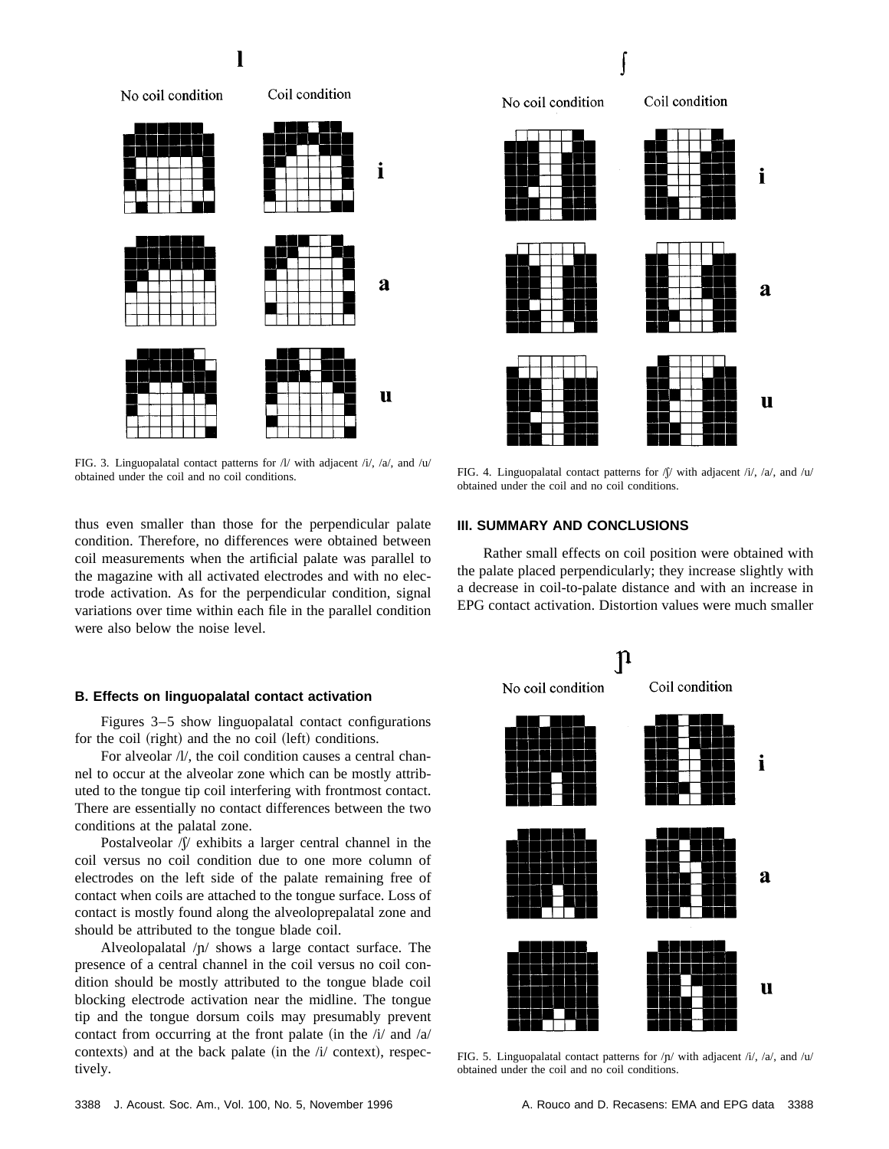# 1



FIG. 3. Linguopalatal contact patterns for  $\Lambda$  with adjacent  $\Lambda$ ,  $\Lambda$ , and  $\Lambda$ obtained under the coil and no coil conditions. FIG. 4. Linguopalatal contact patterns for  $\int$  with adjacent  $\int$ i/,  $\int$ a/, and  $\int$ u/ obtained under the coil and no coil conditions.



obtained under the coil and no coil conditions.

thus even smaller than those for the perpendicular palate condition. Therefore, no differences were obtained between coil measurements when the artificial palate was parallel to the magazine with all activated electrodes and with no electrode activation. As for the perpendicular condition, signal variations over time within each file in the parallel condition were also below the noise level.

#### **B. Effects on linguopalatal contact activation**

Figures 3–5 show linguopalatal contact configurations for the coil (right) and the no coil (left) conditions.

For alveolar /l/, the coil condition causes a central channel to occur at the alveolar zone which can be mostly attributed to the tongue tip coil interfering with frontmost contact. There are essentially no contact differences between the two conditions at the palatal zone.

Postalveolar  $\sqrt{V}$  exhibits a larger central channel in the coil versus no coil condition due to one more column of electrodes on the left side of the palate remaining free of contact when coils are attached to the tongue surface. Loss of contact is mostly found along the alveoloprepalatal zone and should be attributed to the tongue blade coil.

Alveolopalatal  $/p/$  shows a large contact surface. The presence of a central channel in the coil versus no coil condition should be mostly attributed to the tongue blade coil blocking electrode activation near the midline. The tongue tip and the tongue dorsum coils may presumably prevent contact from occurring at the front palate (in the  $\pi$ ) and  $\pi$ contexts) and at the back palate (in the  $/i$  context), respectively.

#### **III. SUMMARY AND CONCLUSIONS**

Rather small effects on coil position were obtained with the palate placed perpendicularly; they increase slightly with a decrease in coil-to-palate distance and with an increase in EPG contact activation. Distortion values were much smaller



FIG. 5. Linguopalatal contact patterns for  $/\eta$  with adjacent  $/i$ ,  $/a$ , and  $/u$ obtained under the coil and no coil conditions.